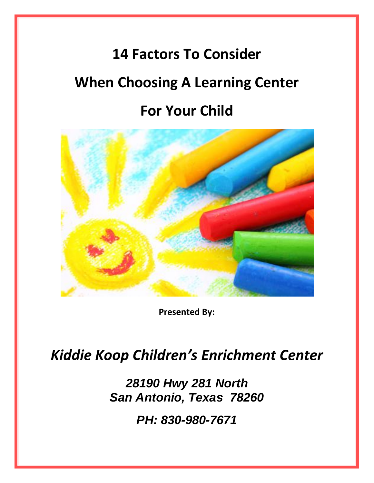# **14 Factors To Consider When Choosing A Learning Center For Your Child**



**Presented By:**

### *Kiddie Koop Children's Enrichment Center*

*28190 Hwy 281 North San Antonio, Texas 78260*

*PH: 830-980-7671*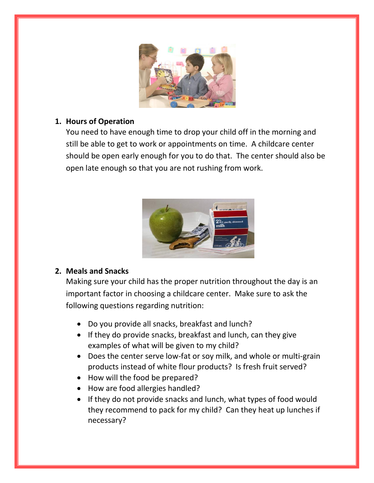

#### **1. Hours of Operation**

You need to have enough time to drop your child off in the morning and still be able to get to work or appointments on time. A childcare center should be open early enough for you to do that. The center should also be open late enough so that you are not rushing from work.



#### **2. Meals and Snacks**

Making sure your child has the proper nutrition throughout the day is an important factor in choosing a childcare center. Make sure to ask the following questions regarding nutrition:

- Do you provide all snacks, breakfast and lunch?
- $\bullet$  If they do provide snacks, breakfast and lunch, can they give examples of what will be given to my child?
- Does the center serve low-fat or soy milk, and whole or multi-grain products instead of white flour products? Is fresh fruit served?
- How will the food be prepared?
- How are food allergies handled?
- If they do not provide snacks and lunch, what types of food would they recommend to pack for my child? Can they heat up lunches if necessary?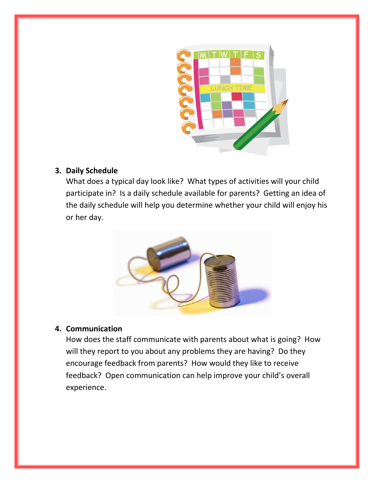

#### **3. Daily Schedule**

What does a typical day look like? What types of activities will your child participate in? Is a daily schedule available for parents? Getting an idea of the daily schedule will help you determine whether your child will enjoy his or her day.



#### **4. Communication**

How does the staff communicate with parents about what is going? How will they report to you about any problems they are having? Do they encourage feedback from parents? How would they like to receive feedback? Open communication can help improve your child's overall experience.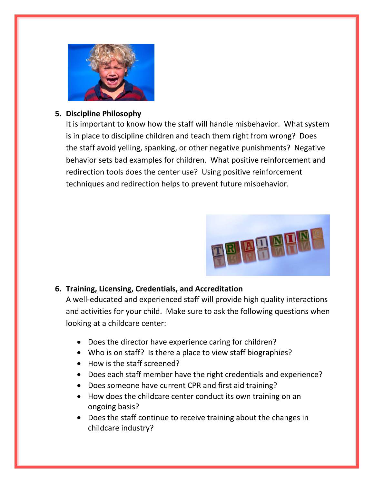

#### **5. Discipline Philosophy**

It is important to know how the staff will handle misbehavior. What system is in place to discipline children and teach them right from wrong? Does the staff avoid yelling, spanking, or other negative punishments? Negative behavior sets bad examples for children. What positive reinforcement and redirection tools does the center use? Using positive reinforcement techniques and redirection helps to prevent future misbehavior.



#### **6. Training, Licensing, Credentials, and Accreditation**

A well-educated and experienced staff will provide high quality interactions and activities for your child. Make sure to ask the following questions when looking at a childcare center:

- Does the director have experience caring for children?
- Who is on staff? Is there a place to view staff biographies?
- How is the staff screened?
- Does each staff member have the right credentials and experience?
- Does someone have current CPR and first aid training?
- How does the childcare center conduct its own training on an ongoing basis?
- Does the staff continue to receive training about the changes in childcare industry?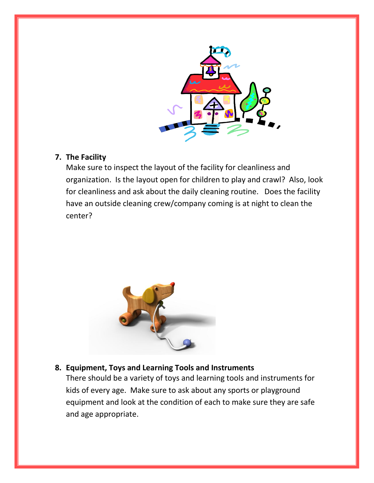

#### **7. The Facility**

Make sure to inspect the layout of the facility for cleanliness and organization. Is the layout open for children to play and crawl? Also, look for cleanliness and ask about the daily cleaning routine. Does the facility have an outside cleaning crew/company coming is at night to clean the center?



#### **8. Equipment, Toys and Learning Tools and Instruments**

There should be a variety of toys and learning tools and instruments for kids of every age. Make sure to ask about any sports or playground equipment and look at the condition of each to make sure they are safe and age appropriate.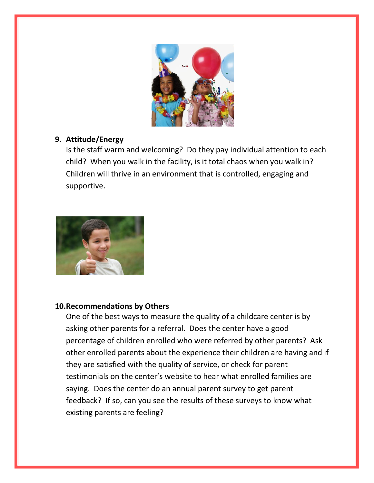

#### **9. Attitude/Energy**

Is the staff warm and welcoming? Do they pay individual attention to each child? When you walk in the facility, is it total chaos when you walk in? Children will thrive in an environment that is controlled, engaging and supportive.



#### **10.Recommendations by Others**

One of the best ways to measure the quality of a childcare center is by asking other parents for a referral. Does the center have a good percentage of children enrolled who were referred by other parents? Ask other enrolled parents about the experience their children are having and if they are satisfied with the quality of service, or check for parent testimonials on the center's website to hear what enrolled families are saying. Does the center do an annual parent survey to get parent feedback? If so, can you see the results of these surveys to know what existing parents are feeling?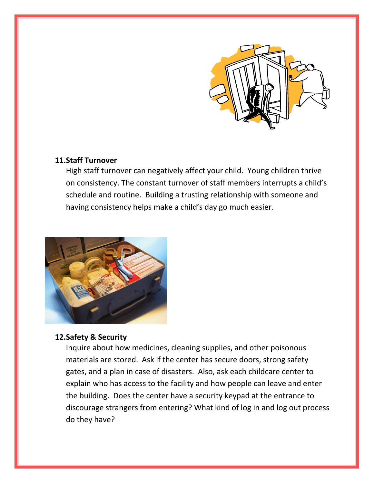

#### **11.Staff Turnover**

High staff turnover can negatively affect your child. Young children thrive on consistency. The constant turnover of staff members interrupts a child's schedule and routine. Building a trusting relationship with someone and having consistency helps make a child's day go much easier.



#### **12.Safety & Security**

Inquire about how medicines, cleaning supplies, and other poisonous materials are stored. Ask if the center has secure doors, strong safety gates, and a plan in case of disasters. Also, ask each childcare center to explain who has access to the facility and how people can leave and enter the building. Does the center have a security keypad at the entrance to discourage strangers from entering? What kind of log in and log out process do they have?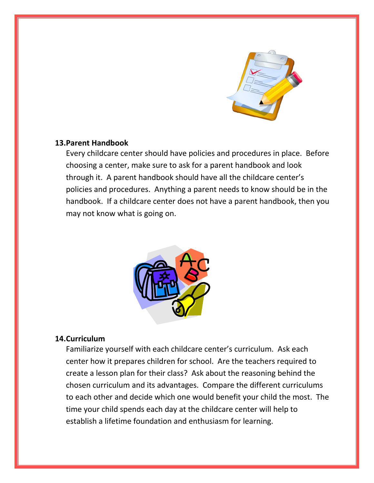

#### **13.Parent Handbook**

Every childcare center should have policies and procedures in place. Before choosing a center, make sure to ask for a parent handbook and look through it. A parent handbook should have all the childcare center's policies and procedures. Anything a parent needs to know should be in the handbook. If a childcare center does not have a parent handbook, then you may not know what is going on.



#### **14.Curriculum**

Familiarize yourself with each childcare center's curriculum. Ask each center how it prepares children for school. Are the teachers required to create a lesson plan for their class? Ask about the reasoning behind the chosen curriculum and its advantages. Compare the different curriculums to each other and decide which one would benefit your child the most. The time your child spends each day at the childcare center will help to establish a lifetime foundation and enthusiasm for learning.